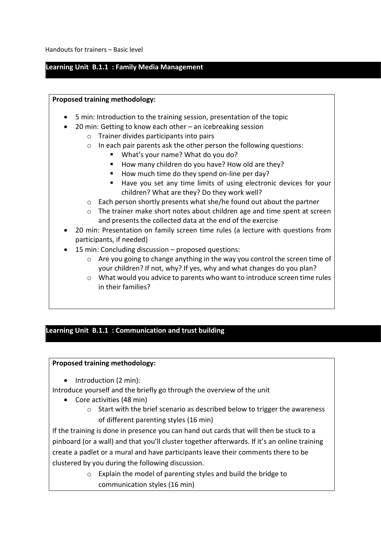Handouts for trainers – Basic level

### **Learning Unit B.1.1 : Family Media Management**

### **Proposed training methodology:**

- 5 min: Introduction to the training session, presentation of the topic
- 20 min: Getting to know each other an icebreaking session
	- o Trainer divides participants into pairs
	- o In each pair parents ask the other person the following questions:
		- What's your name? What do you do?
		- How many children do you have? How old are they?
		- How much time do they spend on-line per day?
		- Have you set any time limits of using electronic devices for your children? What are they? Do they work well?
	- $\circ$  Each person shortly presents what she/he found out about the partner
	- $\circ$  The trainer make short notes about children age and time spent at screen and presents the collected data at the end of the exercise
- 20 min: Presentation on family screen time rules (a lecture with questions from participants, if needed)
- 15 min: Concluding discussion proposed questions:
	- $\circ$  Are you going to change anything in the way you control the screen time of your children? If not, why? If yes, why and what changes do you plan?
	- o What would you advice to parents who want to introduce screen time rules in their families?

## **Learning Unit B.1.1 : Communication and trust building**

#### **Proposed training methodology:**

• Introduction (2 min):

Introduce yourself and the briefly go through the overview of the unit

- Core activities (48 min)
	- o Start with the brief scenario as described below to trigger the awareness of different parenting styles (16 min)

If the training is done in presence you can hand out cards that will then be stuck to a pinboard (or a wall) and that you'll cluster together afterwards. If it's an online training create a padlet or a mural and have participants leave their comments there to be clustered by you during the following discussion.

> o Explain the model of parenting styles and build the bridge to communication styles (16 min)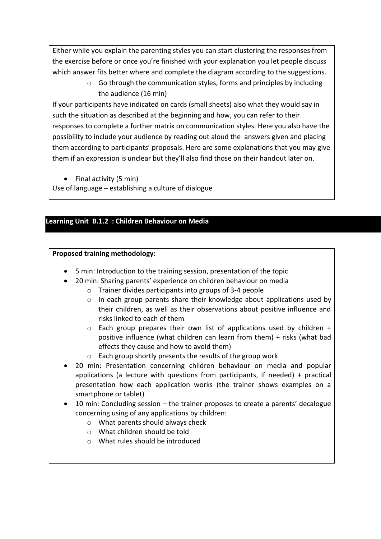Either while you explain the parenting styles you can start clustering the responses from the exercise before or once you're finished with your explanation you let people discuss which answer fits better where and complete the diagram according to the suggestions.

> o Go through the communication styles, forms and principles by including the audience (16 min)

If your participants have indicated on cards (small sheets) also what they would say in such the situation as described at the beginning and how, you can refer to their responses to complete a further matrix on communication styles. Here you also have the possibility to include your audience by reading out aloud the answers given and placing them according to participants' proposals. Here are some explanations that you may give them if an expression is unclear but they'll also find those on their handout later on.

• Final activity (5 min)

Use of language – establishing a culture of dialogue

# **Learning Unit B.1.2 : Children Behaviour on Media**

## **Proposed training methodology:**

- 5 min: Introduction to the training session, presentation of the topic
- 20 min: Sharing parents' experience on children behaviour on media
	- o Trainer divides participants into groups of 3-4 people
	- $\circ$  In each group parents share their knowledge about applications used by their children, as well as their observations about positive influence and risks linked to each of them
	- o Each group prepares their own list of applications used by children + positive influence (what children can learn from them) + risks (what bad effects they cause and how to avoid them)
	- o Each group shortly presents the results of the group work
- 20 min: Presentation concerning children behaviour on media and popular applications (a lecture with questions from participants, if needed) + practical presentation how each application works (the trainer shows examples on a smartphone or tablet)
- 10 min: Concluding session the trainer proposes to create a parents' decalogue concerning using of any applications by children:
	- o What parents should always check
	- o What children should be told
	- o What rules should be introduced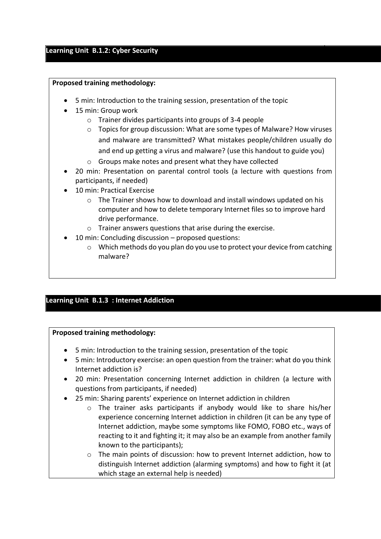#### **Learning Unit B.1.2: Cyber Security**

#### **Proposed training methodology:**

- 5 min: Introduction to the training session, presentation of the topic
- 15 min: Group work
	- o Trainer divides participants into groups of 3-4 people
	- o Topics for group discussion: What are some types of Malware? How viruses and malware are transmitted? What mistakes people/children usually do and end up getting a virus and malware? (use this handout to guide you)
	- o Groups make notes and present what they have collected
- 20 min: Presentation on parental control tools (a lecture with questions from participants, if needed)
- 10 min: Practical Exercise
	- o The Trainer shows how to download and install windows updated on his computer and how to delete temporary Internet files so to improve hard drive performance.
	- o Trainer answers questions that arise during the exercise.
- 10 min: Concluding discussion proposed questions:
	- o Which methods do you plan do you use to protect your device from catching malware?

## **Learning Unit B.1.3 : Internet Addiction**

#### **Proposed training methodology:**

- 5 min: Introduction to the training session, presentation of the topic
- 5 min: Introductory exercise: an open question from the trainer: what do you think Internet addiction is?
- 20 min: Presentation concerning Internet addiction in children (a lecture with questions from participants, if needed)
- 25 min: Sharing parents' experience on Internet addiction in children
	- o The trainer asks participants if anybody would like to share his/her experience concerning Internet addiction in children (it can be any type of Internet addiction, maybe some symptoms like FOMO, FOBO etc., ways of reacting to it and fighting it; it may also be an example from another family known to the participants);
	- $\circ$  The main points of discussion: how to prevent Internet addiction, how to distinguish Internet addiction (alarming symptoms) and how to fight it (at which stage an external help is needed)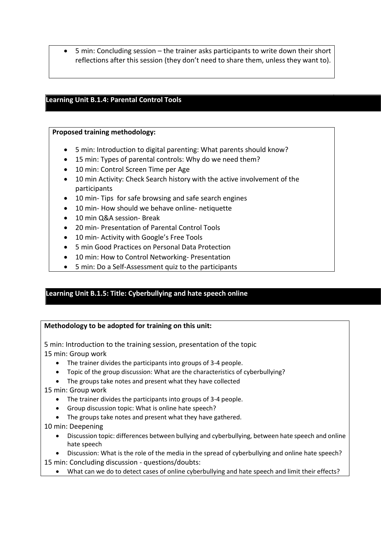• 5 min: Concluding session – the trainer asks participants to write down their short reflections after this session (they don't need to share them, unless they want to).

## **Learning Unit B.1.4: Parental Control Tools**

### **Proposed training methodology:**

- 5 min: Introduction to digital parenting: What parents should know?
- 15 min: Types of parental controls: Why do we need them?
- 10 min: Control Screen Time per Age
- 10 min Activity: Check Search history with the active involvement of the participants
- 10 min- Tips for safe browsing and safe search engines
- 10 min- How should we behave online- netiquette
- 10 min Q&A session- Break
- 20 min- Presentation of Parental Control Tools
- 10 min- Activity with Google's Free Tools
- 5 min Good Practices on Personal Data Protection
- 10 min: How to Control Networking- Presentation
- 5 min: Do a Self-Assessment quiz to the participants

## **Learning Unit B.1.5: Title: Cyberbullying and hate speech online**

#### **Methodology to be adopted for training on this unit:**

5 min: Introduction to the training session, presentation of the topic 15 min: Group work

- The trainer divides the participants into groups of 3-4 people.
- Topic of the group discussion: What are the characteristics of cyberbullying?
- The groups take notes and present what they have collected

15 min: Group work

- The trainer divides the participants into groups of 3-4 people.
- Group discussion topic: What is online hate speech?
- The groups take notes and present what they have gathered.

#### 10 min: Deepening

- Discussion topic: differences between bullying and cyberbullying, between hate speech and online hate speech
- Discussion: What is the role of the media in the spread of cyberbullying and online hate speech?

15 min: Concluding discussion - questions/doubts:

• What can we do to detect cases of online cyberbullying and hate speech and limit their effects?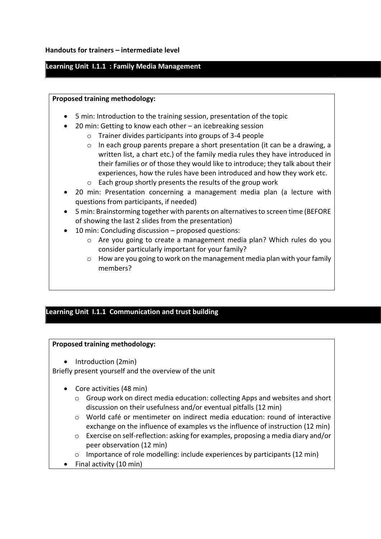## **Learning Unit I.1.1 : Family Media Management**

#### **Proposed training methodology:**

- 5 min: Introduction to the training session, presentation of the topic
- 20 min: Getting to know each other an icebreaking session
	- o Trainer divides participants into groups of 3-4 people
	- $\circ$  In each group parents prepare a short presentation (it can be a drawing, a written list, a chart etc.) of the family media rules they have introduced in their families or of those they would like to introduce; they talk about their experiences, how the rules have been introduced and how they work etc.
	- o Each group shortly presents the results of the group work
- 20 min: Presentation concerning a management media plan (a lecture with questions from participants, if needed)
- 5 min: Brainstorming together with parents on alternatives to screen time (BEFORE of showing the last 2 slides from the presentation)
- 10 min: Concluding discussion proposed questions:
	- o Are you going to create a management media plan? Which rules do you consider particularly important for your family?
	- $\circ$  How are you going to work on the management media plan with your family members?

# **Learning Unit I.1.1 Communication and trust building**

#### **Proposed training methodology:**

• Introduction (2min)

Briefly present yourself and the overview of the unit

- Core activities (48 min)
	- $\circ$  Group work on direct media education: collecting Apps and websites and short discussion on their usefulness and/or eventual pitfalls (12 min)
	- o World café or mentimeter on indirect media education: round of interactive exchange on the influence of examples vs the influence of instruction (12 min)
	- o Exercise on self-reflection: asking for examples, proposing a media diary and/or peer observation (12 min)
	- $\circ$  Importance of role modelling: include experiences by participants (12 min)
- Final activity (10 min)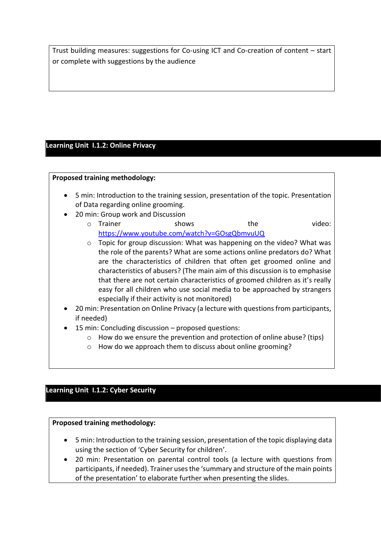Trust building measures: suggestions for Co-using ICT and Co-creation of content – start or complete with suggestions by the audience

# **Learning Unit I.1.2: Online Privacy**

### **Proposed training methodology:**

- 5 min: Introduction to the training session, presentation of the topic. Presentation of Data regarding online grooming.
- 20 min: Group work and Discussion
	- o Trainer shows the video: <https://www.youtube.com/watch?v=GOsgQbmvuUQ>
	- $\circ$  Topic for group discussion: What was happening on the video? What was the role of the parents? What are some actions online predators do? What are the characteristics of children that often get groomed online and characteristics of abusers? (The main aim of this discussion is to emphasise that there are not certain characteristics of groomed children as it's really easy for all children who use social media to be approached by strangers especially if their activity is not monitored)
- 20 min: Presentation on Online Privacy (a lecture with questions from participants, if needed)
- 15 min: Concluding discussion proposed questions:
	- $\circ$  How do we ensure the prevention and protection of online abuse? (tips)
	- o How do we approach them to discuss about online grooming?

# **Learning Unit I.1.2: Cyber Security**

## **Proposed training methodology:**

- 5 min: Introduction to the training session, presentation of the topic displaying data using the section of 'Cyber Security for children'.
- 20 min: Presentation on parental control tools (a lecture with questions from participants, if needed). Trainer usesthe 'summary and structure of the main points of the presentation' to elaborate further when presenting the slides.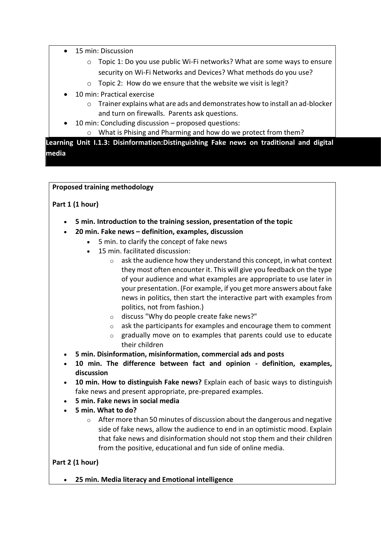- 15 min: Discussion
	- o Topic 1: Do you use public Wi-Fi networks? What are some ways to ensure security on Wi-Fi Networks and Devices? What methods do you use?
	- o Topic 2: How do we ensure that the website we visit is legit?
- 10 min: Practical exercise
	- $\circ$  Trainer explains what are ads and demonstrates how to install an ad-blocker and turn on firewalls. Parents ask questions.
- 10 min: Concluding discussion proposed questions:
	- o What is Phising and Pharming and how do we protect from them?

**Learning Unit I.1.3: Disinformation:Distinguishing Fake news on traditional and digital media**

**Proposed training methodology**

# **Part 1 (1 hour)**

- **5 min. Introduction to the training session, presentation of the topic**
- **20 min. Fake news – definition, examples, discussion**
	- 5 min. to clarify the concept of fake news
	- 15 min. facilitated discussion:
		- $\circ$  ask the audience how they understand this concept, in what context they most often encounter it. This will give you feedback on the type of your audience and what examples are appropriate to use later in your presentation. (For example, if you get more answers about fake news in politics, then start the interactive part with examples from politics, not from fashion.)
		- o discuss "Why do people create fake news?"
		- $\circ$  ask the participants for examples and encourage them to comment
		- o gradually move on to examples that parents could use to educate their children
- **5 min. Disinformation, misinformation, commercial ads and posts**
- **10 min. The difference between fact and opinion - definition, examples, discussion**
- **10 min. How to distinguish Fake news?** Explain each of basic ways to distinguish fake news and present appropriate, pre-prepared examples.
- **5 min. Fake news in social media**
- **5 min. What to do?** 
	- $\circ$  After more than 50 minutes of discussion about the dangerous and negative side of fake news, allow the audience to end in an optimistic mood. Explain that fake news and disinformation should not stop them and their children from the positive, educational and fun side of online media.

## **Part 2 (1 hour)**

• **25 min. Media literacy and Emotional intelligence**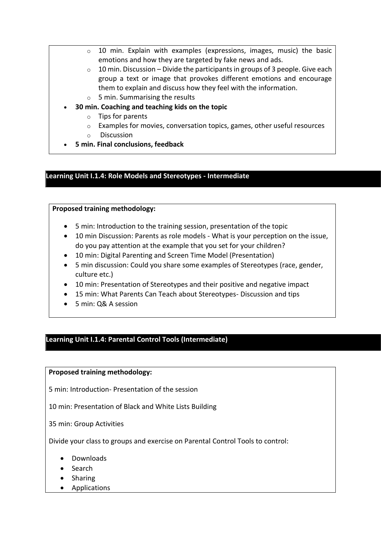- $\circ$  10 min. Explain with examples (expressions, images, music) the basic emotions and how they are targeted by fake news and ads.
- $\circ$  10 min. Discussion Divide the participants in groups of 3 people. Give each group a text or image that provokes different emotions and encourage them to explain and discuss how they feel with the information.
- $\circ$  5 min. Summarising the results
- **30 min. Coaching and teaching kids on the topic**
	- o Tips for parents
	- o Examples for movies, conversation topics, games, other useful resources
	- o Discussion
- **5 min. Final conclusions, feedback**

#### **Learning Unit I.1.4: Role Models and Stereotypes - Intermediate**

#### **Proposed training methodology:**

- 5 min: Introduction to the training session, presentation of the topic
- 10 min Discussion: Parents as role models What is your perception on the issue, do you pay attention at the example that you set for your children?
- 10 min: Digital Parenting and Screen Time Model (Presentation)
- 5 min discussion: Could you share some examples of Stereotypes (race, gender, culture etc.)
- 10 min: Presentation of Stereotypes and their positive and negative impact
- 15 min: What Parents Can Teach about Stereotypes- Discussion and tips
- 5 min: Q& A session

## **Learning Unit I.1.4: Parental Control Tools (Intermediate)**

#### **Proposed training methodology:**

5 min: Introduction- Presentation of the session

10 min: Presentation of Black and White Lists Building

35 min: Group Activities

Divide your class to groups and exercise on Parental Control Tools to control:

- Downloads
- Search
- Sharing
- Applications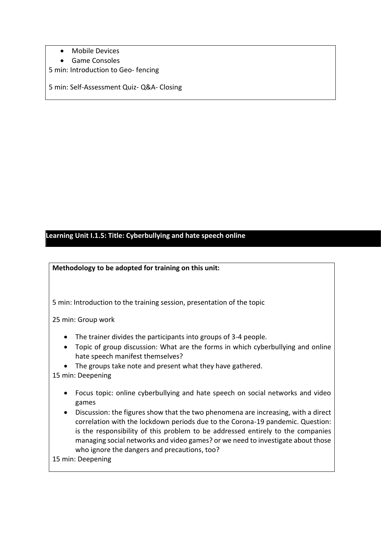- Mobile Devices
- Game Consoles
- 5 min: Introduction to Geo- fencing

5 min: Self-Assessment Quiz- Q&A- Closing

# **Learning Unit I.1.5: Title: Cyberbullying and hate speech online**

### **Methodology to be adopted for training on this unit:**

5 min: Introduction to the training session, presentation of the topic

25 min: Group work

- The trainer divides the participants into groups of 3-4 people.
- Topic of group discussion: What are the forms in which cyberbullying and online hate speech manifest themselves?
- The groups take note and present what they have gathered.

15 min: Deepening

- Focus topic: online cyberbullying and hate speech on social networks and video games
- Discussion: the figures show that the two phenomena are increasing, with a direct correlation with the lockdown periods due to the Corona-19 pandemic. Question: is the responsibility of this problem to be addressed entirely to the companies managing social networks and video games? or we need to investigate about those who ignore the dangers and precautions, too?

15 min: Deepening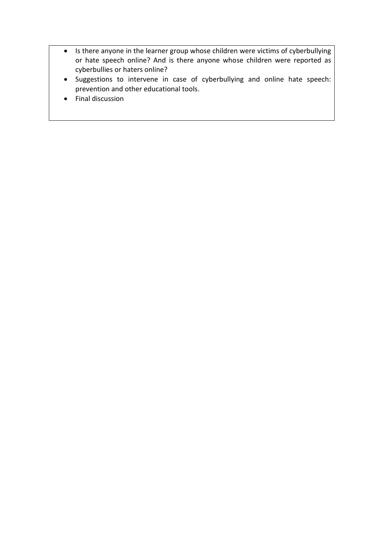- Is there anyone in the learner group whose children were victims of cyberbullying or hate speech online? And is there anyone whose children were reported as cyberbullies or haters online?
- Suggestions to intervene in case of cyberbullying and online hate speech: prevention and other educational tools.
- Final discussion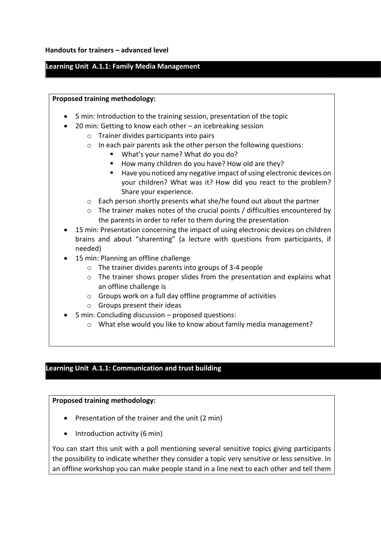#### **Handouts for trainers – advanced level**

## **Learning Unit A.1.1: Family Media Management**

#### **Proposed training methodology:**

- 5 min: Introduction to the training session, presentation of the topic
- 20 min: Getting to know each other an icebreaking session
	- o Trainer divides participants into pairs
	- o In each pair parents ask the other person the following questions:
		- What's your name? What do you do?
		- How many children do you have? How old are they?
		- Have you noticed any negative impact of using electronic devices on your children? What was it? How did you react to the problem? Share your experience.
	- o Each person shortly presents what she/he found out about the partner
	- $\circ$  The trainer makes notes of the crucial points / difficulties encountered by the parents in order to refer to them during the presentation
- 15 min: Presentation concerning the impact of using electronic devices on children brains and about "sharenting" (a lecture with questions from participants, if needed)
- 15 min: Planning an offline challenge
	- o The trainer divides parents into groups of 3-4 people
	- $\circ$  The trainer shows proper slides from the presentation and explains what an offline challenge is
	- o Groups work on a full day offline programme of activities
	- o Groups present their ideas
- 5 min: Concluding discussion proposed questions:
	- o What else would you like to know about family media management?

### **Learning Unit A.1.1: Communication and trust building**

#### **Proposed training methodology:**

- Presentation of the trainer and the unit (2 min)
- Introduction activity (6 min)

You can start this unit with a poll mentioning several sensitive topics giving participants the possibility to indicate whether they consider a topic very sensitive or less sensitive. In an offline workshop you can make people stand in a line next to each other and tell them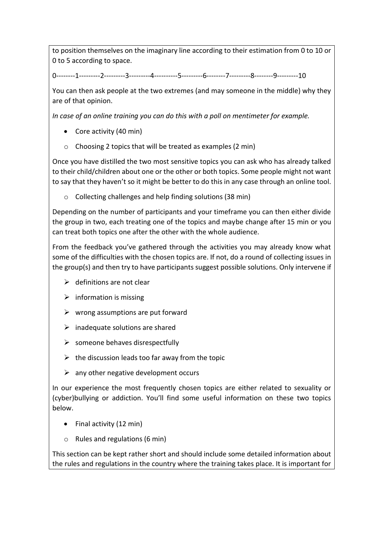to position themselves on the imaginary line according to their estimation from 0 to 10 or 0 to 5 according to space.

0--------1---------2---------3---------4----------5---------6--------7---------8--------9---------10

You can then ask people at the two extremes (and may someone in the middle) why they are of that opinion.

*In case of an online training you can do this with a poll on mentimeter for example.*

- Core activity (40 min)
- o Choosing 2 topics that will be treated as examples (2 min)

Once you have distilled the two most sensitive topics you can ask who has already talked to their child/children about one or the other or both topics. Some people might not want to say that they haven't so it might be better to do this in any case through an online tool.

o Collecting challenges and help finding solutions (38 min)

Depending on the number of participants and your timeframe you can then either divide the group in two, each treating one of the topics and maybe change after 15 min or you can treat both topics one after the other with the whole audience.

From the feedback you've gathered through the activities you may already know what some of the difficulties with the chosen topics are. If not, do a round of collecting issues in the group(s) and then try to have participants suggest possible solutions. Only intervene if

- $\triangleright$  definitions are not clear
- $\triangleright$  information is missing
- $\triangleright$  wrong assumptions are put forward
- $\triangleright$  inadequate solutions are shared
- $\triangleright$  someone behaves disrespectfully
- $\triangleright$  the discussion leads too far away from the topic
- $\triangleright$  any other negative development occurs

In our experience the most frequently chosen topics are either related to sexuality or (cyber)bullying or addiction. You'll find some useful information on these two topics below.

- Final activity (12 min)
- o Rules and regulations (6 min)

This section can be kept rather short and should include some detailed information about the rules and regulations in the country where the training takes place. It is important for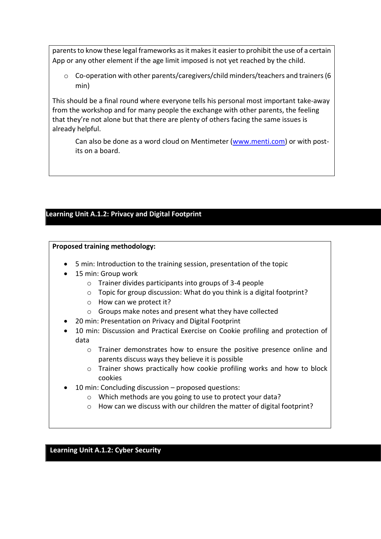parents to know these legal frameworks as it makes it easier to prohibit the use of a certain App or any other element if the age limit imposed is not yet reached by the child.

o Co-operation with other parents/caregivers/child minders/teachers and trainers (6 min)

This should be a final round where everyone tells his personal most important take-away from the workshop and for many people the exchange with other parents, the feeling that they're not alone but that there are plenty of others facing the same issues is already helpful.

Can also be done as a word cloud on Mentimeter [\(www.menti.com\)](http://www.menti.com/) or with postits on a board.

# **Learning Unit A.1.2: Privacy and Digital Footprint**

# **Proposed training methodology:**

- 5 min: Introduction to the training session, presentation of the topic
- 15 min: Group work
	- o Trainer divides participants into groups of 3-4 people
	- o Topic for group discussion: What do you think is a digital footprint?
	- o How can we protect it?
	- o Groups make notes and present what they have collected
- 20 min: Presentation on Privacy and Digital Footprint
- 10 min: Discussion and Practical Exercise on Cookie profiling and protection of data
	- $\circ$  Trainer demonstrates how to ensure the positive presence online and parents discuss ways they believe it is possible
	- $\circ$  Trainer shows practically how cookie profiling works and how to block cookies
- 10 min: Concluding discussion proposed questions:
	- o Which methods are you going to use to protect your data?
	- o How can we discuss with our children the matter of digital footprint?

## **Learning Unit A.1.2: Cyber Security**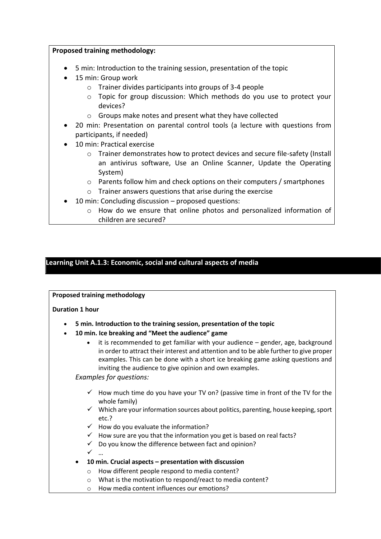### **Proposed training methodology:**

- 5 min: Introduction to the training session, presentation of the topic
- 15 min: Group work
	- o Trainer divides participants into groups of 3-4 people
	- $\circ$  Topic for group discussion: Which methods do you use to protect your devices?
	- o Groups make notes and present what they have collected
- 20 min: Presentation on parental control tools (a lecture with questions from participants, if needed)
- 10 min: Practical exercise
	- o Trainer demonstrates how to protect devices and secure file-safety (Install an antivirus software, Use an Online Scanner, Update the Operating System)
	- o Parents follow him and check options on their computers / smartphones
	- o Trainer answers questions that arise during the exercise
- 10 min: Concluding discussion proposed questions:
	- o How do we ensure that online photos and personalized information of children are secured?

# **Learning Unit A.1.3: Economic, social and cultural aspects of media**

**Proposed training methodology**

#### **Duration 1 hour**

- **5 min. Introduction to the training session, presentation of the topic**
- **10 min. Ice breaking and "Meet the audience" game**
	- it is recommended to get familiar with your audience gender, age, background in order to attract their interest and attention and to be able further to give proper examples. This can be done with a short ice breaking game asking questions and inviting the audience to give opinion and own examples.

*Examples for questions:* 

- $\checkmark$  How much time do you have your TV on? (passive time in front of the TV for the whole family)
- $\checkmark$  Which are your information sources about politics, parenting, house keeping, sport etc.?
- $\checkmark$  How do you evaluate the information?
- $\checkmark$  How sure are you that the information you get is based on real facts?
- $\checkmark$  Do you know the difference between fact and opinion?
- ✓ …
	-
- **10 min. Crucial aspects – presentation with discussion**
	- o How different people respond to media content?
	- o What is the motivation to respond/react to media content?
	- o How media content influences our emotions?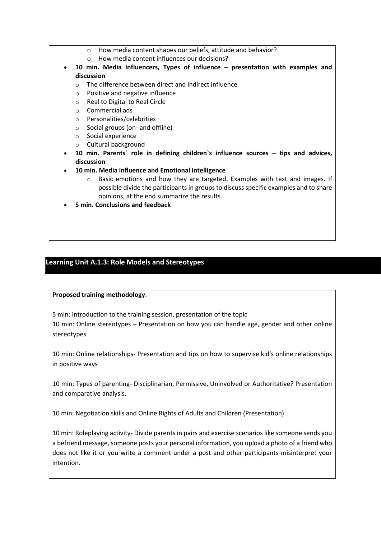- o How media content shapes our beliefs, attitude and behavior?
- o How media content influences our decisions?
- **10 min. Media Influencers, Types of influence – presentation with examples and discussion**
	- o The difference between direct and indirect influence
	- o Positive and negative influence
	- o Real to Digital to Real Circle
	- o Commercial ads
	- o Personalities/celebrities
	- o Social groups (on- and offline)
	- o Social experience
	- o Cultural background
- **10 min. Parents` role in defining children`s influence sources – tips and advices, discussion**
- **10 min. Media influence and Emotional intelligence** 
	- $\circ$  Basic emotions and how they are targeted. Examples with text and images. If possible divide the participants in groups to discuss specific examples and to share opinions, at the end summarize the results.
- **5 min. Conclusions and feedback**

## **Learning Unit A.1.3: Role Models and Stereotypes**

#### **Proposed training methodology**:

5 min: Introduction to the training session, presentation of the topic

10 min: Online stereotypes – Presentation on how you can handle age, gender and other online stereotypes

10 min: Online relationships- Presentation and tips on how to supervise kid's online relationships in positive ways

10 min: Types of parenting- Disciplinarian, Permissive, Uninvolved or Authoritative? Presentation and comparative analysis.

10 min: Negotiation skills and Online Rights of Adults and Children (Presentation)

10 min: Roleplaying activity- Divide parents in pairs and exercise scenarios like someone sends you a befriend message, someone posts your personal information, you upload a photo of a friend who does not like it or you write a comment under a post and other participants misinterpret your intention.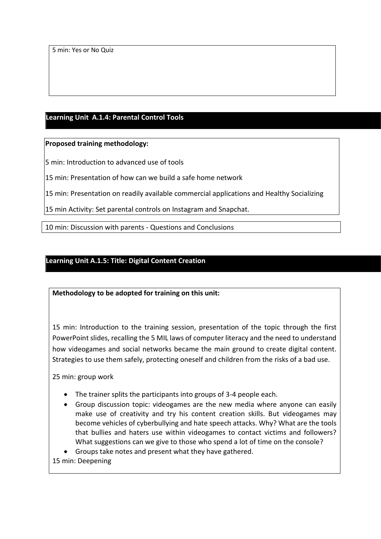5 min: Yes or No Quiz

# **Learning Unit A.1.4: Parental Control Tools**

### **Proposed training methodology:**

5 min: Introduction to advanced use of tools

15 min: Presentation of how can we build a safe home network

15 min: Presentation on readily available commercial applications and Healthy Socializing

15 min Activity: Set parental controls on Instagram and Snapchat.

10 min: Discussion with parents - Questions and Conclusions

## **Learning Unit A.1.5: Title: Digital Content Creation**

**Methodology to be adopted for training on this unit:**

15 min: Introduction to the training session, presentation of the topic through the first PowerPoint slides, recalling the 5 MIL laws of computer literacy and the need to understand how videogames and social networks became the main ground to create digital content. Strategies to use them safely, protecting oneself and children from the risks of a bad use.

25 min: group work

- The trainer splits the participants into groups of 3-4 people each.
- Group discussion topic: videogames are the new media where anyone can easily make use of creativity and try his content creation skills. But videogames may become vehicles of cyberbullying and hate speech attacks. Why? What are the tools that bullies and haters use within videogames to contact victims and followers? What suggestions can we give to those who spend a lot of time on the console?

• Groups take notes and present what they have gathered.

15 min: Deepening